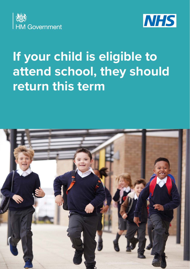



# **If your child is eligible to attend school, they should return this term**